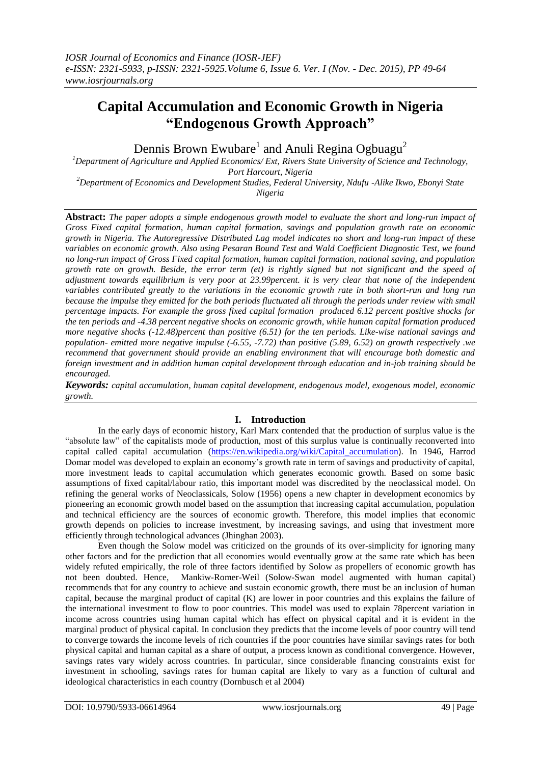# **Capital Accumulation and Economic Growth in Nigeria "Endogenous Growth Approach"**

Dennis Brown Ewubare<sup>1</sup> and Anuli Regina Ogbuagu<sup>2</sup>

*<sup>1</sup>Department of Agriculture and Applied Economics/ Ext, Rivers State University of Science and Technology, Port Harcourt, Nigeria*

*<sup>2</sup>Department of Economics and Development Studies, Federal University, Ndufu -Alike Ikwo, Ebonyi State Nigeria*

**Abstract:** *The paper adopts a simple endogenous growth model to evaluate the short and long-run impact of Gross Fixed capital formation, human capital formation, savings and population growth rate on economic growth in Nigeria. The Autoregressive Distributed Lag model indicates no short and long-run impact of these variables on economic growth. Also using Pesaran Bound Test and Wald Coefficient Diagnostic Test, we found no long-run impact of Gross Fixed capital formation, human capital formation, national saving, and population growth rate on growth. Beside, the error term (et) is rightly signed but not significant and the speed of adjustment towards equilibrium is very poor at 23.99percent. it is very clear that none of the independent variables contributed greatly to the variations in the economic growth rate in both short-run and long run because the impulse they emitted for the both periods fluctuated all through the periods under review with small percentage impacts. For example the gross fixed capital formation produced 6.12 percent positive shocks for the ten periods and -4.38 percent negative shocks on economic growth, while human capital formation produced more negative shocks (-12.48)percent than positive (6.51) for the ten periods. Like-wise national savings and population- emitted more negative impulse (-6.55, -7.72) than positive (5.89, 6.52) on growth respectively .we recommend that government should provide an enabling environment that will encourage both domestic and foreign investment and in addition human capital development through education and in-job training should be encouraged.*

*Keywords: capital accumulation, human capital development, endogenous model, exogenous model, economic growth.*

# **I. Introduction**

In the early days of economic history, Karl Marx contended that the production of surplus value is the "absolute law" of the capitalists mode of production, most of this surplus value is continually reconverted into capital called capital accumulation [\(https://en.wikipedia.org/wiki/Capital\\_accumulation](https://en.wikipedia.org/wiki/Capital_accumulation)). In 1946, Harrod Domar model was developed to explain an economy's growth rate in term of savings and productivity of capital, more investment leads to capital accumulation which generates economic growth. Based on some basic assumptions of fixed capital/labour ratio, this important model was discredited by the neoclassical model. On refining the general works of Neoclassicals, Solow (1956) opens a new chapter in development economics by pioneering an economic growth model based on the assumption that increasing capital accumulation, population and technical efficiency are the sources of economic growth. Therefore, this model implies that economic growth depends on policies to increase investment, by increasing savings, and using that investment more efficiently through technological advances (Jhinghan 2003).

Even though the Solow model was criticized on the grounds of its over-simplicity for ignoring many other factors and for the prediction that all economies would eventually grow at the same rate which has been widely refuted empirically, the role of three factors identified by Solow as propellers of economic growth has not been doubted. Hence, Mankiw-Romer-Weil (Solow-Swan model augmented with human capital) recommends that for any country to achieve and sustain economic growth, there must be an inclusion of human capital, because the marginal product of capital (K) are lower in poor countries and this explains the failure of the international investment to flow to poor countries. This model was used to explain 78percent variation in income across countries using human capital which has effect on physical capital and it is evident in the marginal product of physical capital. In conclusion they predicts that the income levels of poor country will tend to converge towards the income levels of rich countries if the poor countries have similar savings rates for both physical capital and human capital as a share of output, a process known as conditional convergence. However, savings rates vary widely across countries. In particular, since considerable financing constraints exist for investment in schooling, savings rates for human capital are likely to vary as a function of cultural and ideological characteristics in each country (Dornbusch et al 2004)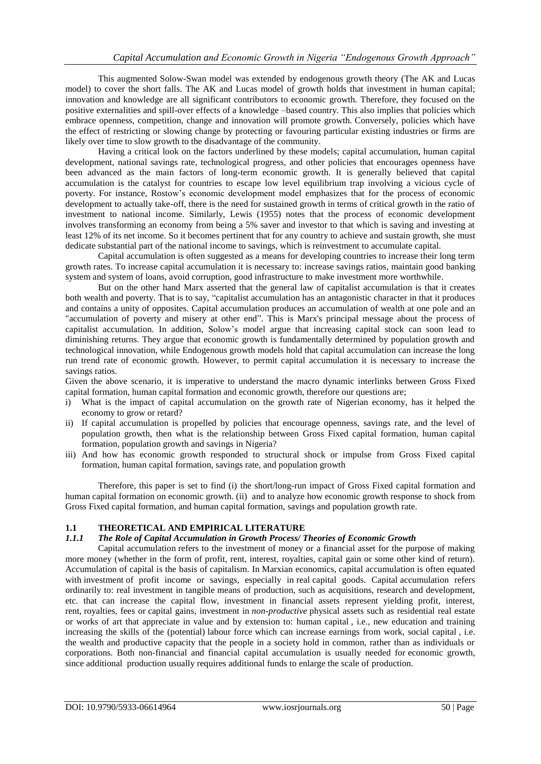This augmented Solow-Swan model was extended by endogenous growth theory (The AK and Lucas model) to cover the short falls. The AK and Lucas model of growth holds that investment in human capital; innovation and knowledge are all significant contributors to economic growth. Therefore, they focused on the positive externalities and spill-over effects of a knowledge –based country. This also implies that policies which embrace openness, competition, change and innovation will promote growth. Conversely, policies which have the effect of restricting or slowing change by protecting or favouring particular existing industries or firms are likely over time to slow growth to the disadvantage of the community.

Having a critical look on the factors underlined by these models; capital accumulation, human capital development, national savings rate, technological progress, and other policies that encourages openness have been advanced as the main factors of long-term economic growth. It is generally believed that capital accumulation is the catalyst for countries to escape low level equilibrium trap involving a vicious cycle of poverty. For instance, Rostow's economic development model emphasizes that for the process of economic development to actually take-off, there is the need for sustained growth in terms of critical growth in the ratio of investment to national income. Similarly, Lewis (1955) notes that the process of economic development involves transforming an economy from being a 5% saver and investor to that which is saving and investing at least 12% of its net income. So it becomes pertinent that for any country to achieve and sustain growth, she must dedicate substantial part of the national income to savings, which is reinvestment to accumulate capital.

Capital accumulation is often suggested as a means for developing countries to increase their long term growth rates. To increase capital accumulation it is necessary to: increase savings ratios, maintain good banking system and system of loans, avoid corruption, good infrastructure to make investment more worthwhile.

But on the other hand Marx asserted that the general law of capitalist accumulation is that it creates both wealth and poverty. That is to say, "capitalist accumulation has an antagonistic character in that it produces and contains a unity of opposites. Capital accumulation produces an accumulation of wealth at one pole and an "accumulation of poverty and misery at other end". This is Marx's principal message about the process of capitalist accumulation. In addition, Solow's model argue that increasing capital stock can soon lead to diminishing returns. They argue that economic growth is fundamentally determined by population growth and technological innovation, while Endogenous growth models hold that capital accumulation can increase the long run trend rate of economic growth. However, to permit capital accumulation it is necessary to increase the savings ratios.

Given the above scenario, it is imperative to understand the macro dynamic interlinks between Gross Fixed capital formation, human capital formation and economic growth, therefore our questions are;

- i) What is the impact of capital accumulation on the growth rate of Nigerian economy, has it helped the economy to grow or retard?
- ii) If capital accumulation is propelled by policies that encourage openness, savings rate, and the level of population growth, then what is the relationship between Gross Fixed capital formation, human capital formation, population growth and savings in Nigeria?
- iii) And how has economic growth responded to structural shock or impulse from Gross Fixed capital formation, human capital formation, savings rate, and population growth

Therefore, this paper is set to find (i) the short/long-run impact of Gross Fixed capital formation and human capital formation on economic growth. (ii) and to analyze how economic growth response to shock from Gross Fixed capital formation, and human capital formation, savings and population growth rate.

## **1.1 THEORETICAL AND EMPIRICAL LITERATURE**

# *1.1.1 The Role of Capital Accumulation in Growth Process/ Theories of Economic Growth*

Capital accumulation refers to the investment of money or a financial asset for the purpose of making more money (whether in the form of profit, rent, interest, royalties, capital gain or some other kind of return). Accumulation of capital is the basis of [capitalism.](https://en.wikipedia.org/wiki/Capitalism) In Marxian economics, capital accumulation is often equated with [investment](https://en.wikipedia.org/wiki/Investment) of profit income or savings, especially in [real](https://en.wikipedia.org/wiki/Real_vs._nominal_in_economics) capital goods. [Capital](https://en.wikipedia.org/wiki/Capital_(economics)) accumulation refers ordinarily to: real investment in tangible [means of production,](https://en.wikipedia.org/wiki/Means_of_production) such as acquisitions, research and development, etc. that can increase the capital flow, investment in financial assets represent yielding profit, interest, rent, [royalties,](https://en.wikipedia.org/wiki/Royalties) fees or [capital gains,](https://en.wikipedia.org/wiki/Capital_gains) investment in *non-productive* physical assets such as residential real estate or works of art that appreciate in value and by extension to: [human capital](https://en.wikipedia.org/wiki/Human_capital) , i.e., new education and training increasing the skills of the (potential) [labour force](https://en.wikipedia.org/wiki/Labour_force) which can increase earnings from work, [social capital](https://en.wikipedia.org/wiki/Social_capital) , i.e. the wealth and productive capacity that the people in a society hold in common, rather than as individuals or corporations. Both non-financial and financial capital accumulation is usually needed for [economic growth,](https://en.wikipedia.org/wiki/Economic_growth) since additional production usually requires additional funds to enlarge the scale of production.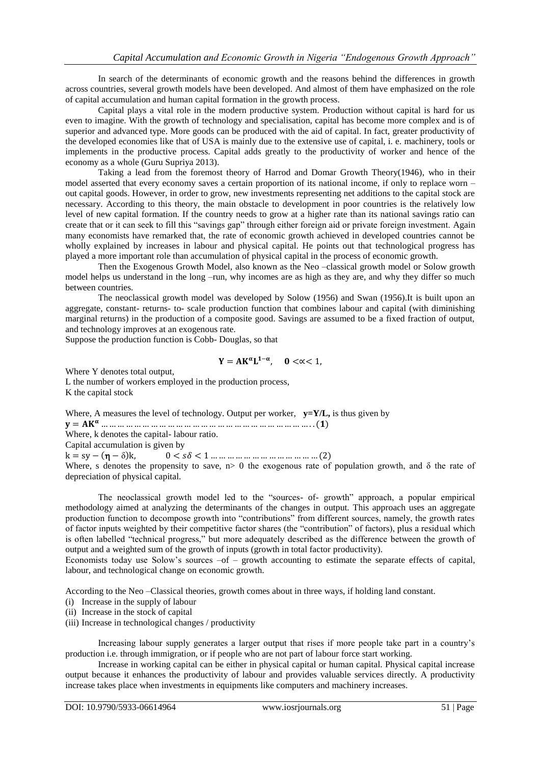In search of the determinants of economic growth and the reasons behind the differences in growth across countries, several growth models have been developed. And almost of them have emphasized on the role of capital accumulation and human capital formation in the growth process.

Capital plays a vital role in the modern productive system. Production without capital is hard for us even to imagine. With the growth of technology and specialisation, capital has become more complex and is of superior and advanced type. More goods can be produced with the aid of capital. In fact, greater productivity of the developed economies like that of USA is mainly due to the extensive use of capital, i. e. machinery, tools or implements in the productive process. Capital adds greatly to the productivity of worker and hence of the economy as a whole (Guru Supriya 2013).

Taking a lead from the foremost theory of Harrod and Domar Growth Theory(1946), who in their model asserted that every economy saves a certain proportion of its national income, if only to replace worn – out capital goods. However, in order to grow, new investments representing net additions to the capital stock are necessary. According to this theory, the main obstacle to development in poor countries is the relatively low level of new capital formation. If the country needs to grow at a higher rate than its national savings ratio can create that or it can seek to fill this "savings gap" through either foreign aid or private foreign investment. Again many economists have remarked that, the rate of economic growth achieved in developed countries cannot be wholly explained by increases in labour and physical capital. He points out that technological progress has played a more important role than accumulation of physical capital in the process of economic growth.

Then the Exogenous Growth Model, also known as the Neo –classical growth model or Solow growth model helps us understand in the long –run, why incomes are as high as they are, and why they differ so much between countries.

The neoclassical growth model was developed by Solow (1956) and Swan (1956).It is built upon an aggregate, constant- returns- to- scale production function that combines labour and capital (with diminishing marginal returns) in the production of a composite good. Savings are assumed to be a fixed fraction of output, and technology improves at an exogenous rate.

Suppose the production function is Cobb- Douglas, so that

$$
Y = AK^{\alpha}L^{1-\alpha}, \quad 0 < \alpha < 1,
$$

Where Y denotes total output,

L the number of workers employed in the production process, K the capital stock

Where, A measures the level of technology. Output per worker,  $y = Y/L$ , is thus given by

= … … … … … … … … … … … … … … … … … … … … … … … … … . . ()

Where, k denotes the capital- labour ratio.

Capital accumulation is given by

k = sy− − δ k, 0 < < 1 … … … … … … … … … … … … … (2)

Where, s denotes the propensity to save,  $n>0$  the exogenous rate of population growth, and  $\delta$  the rate of depreciation of physical capital.

The neoclassical growth model led to the "sources- of- growth" approach, a popular empirical methodology aimed at analyzing the determinants of the changes in output. This approach uses an aggregate production function to decompose growth into "contributions" from different sources, namely, the growth rates of factor inputs weighted by their competitive factor shares (the "contribution" of factors), plus a residual which is often labelled "technical progress," but more adequately described as the difference between the growth of output and a weighted sum of the growth of inputs (growth in total factor productivity).

Economists today use Solow's sources –of – growth accounting to estimate the separate effects of capital, labour, and technological change on economic growth.

According to the Neo –Classical theories, growth comes about in three ways, if holding land constant.

- (i) Increase in the supply of labour
- (ii) Increase in the stock of capital
- (iii) Increase in technological changes / productivity

Increasing labour supply generates a larger output that rises if more people take part in a country's production i.e. through immigration, or if people who are not part of labour force start working.

Increase in working capital can be either in physical capital or human capital. Physical capital increase output because it enhances the productivity of labour and provides valuable services directly. A productivity increase takes place when investments in equipments like computers and machinery increases.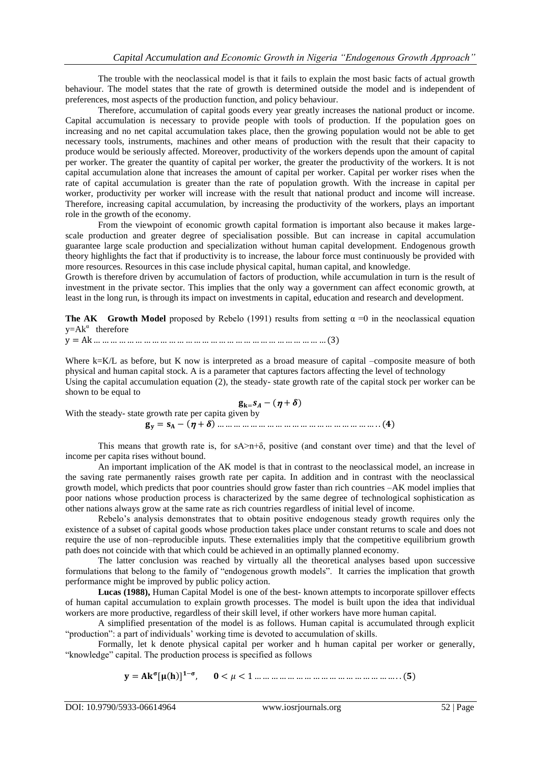The trouble with the neoclassical model is that it fails to explain the most basic facts of actual growth behaviour. The model states that the rate of growth is determined outside the model and is independent of preferences, most aspects of the production function, and policy behaviour.

Therefore, accumulation of capital goods every year greatly increases the national product or income. Capital accumulation is necessary to provide people with tools of production. If the population goes on increasing and no net capital accumulation takes place, then the growing population would not be able to get necessary tools, instruments, machines and other means of production with the result that their capacity to produce would be seriously affected. Moreover, productivity of the workers depends upon the amount of capital per worker. The greater the quantity of capital per worker, the greater the productivity of the workers. It is not capital accumulation alone that increases the amount of capital per worker. Capital per worker rises when the rate of capital accumulation is greater than the rate of population growth. With the increase in capital per worker, productivity per worker will increase with the result that national product and income will increase. Therefore, increasing capital accumulation, by increasing the productivity of the workers, plays an important role in the growth of the economy.

From the viewpoint of economic growth capital formation is important also because it makes largescale production and greater degree of specialisation possible. But can increase in capital accumulation guarantee large scale production and specialization without human capital development. Endogenous growth theory highlights the fact that if productivity is to increase, the labour force must continuously be provided with more resources. Resources in this case include physical capital, human capital, and knowledge.

Growth is therefore driven by accumulation of factors of production, while accumulation in turn is the result of investment in the private sector. This implies that the only way a government can affect economic growth, at least in the long run, is through its impact on investments in capital, education and research and development.

**The AK Growth Model** proposed by Rebelo (1991) results from setting  $\alpha = 0$  in the neoclassical equation  $y=Ak^{\alpha}$  therefore

y = Ak … … … … … … … … … … … … … … … … … … … … … … … … … … … … (3)

Where k=K/L as before, but K now is interpreted as a broad measure of capital –composite measure of both physical and human capital stock. A is a parameter that captures factors affecting the level of technology Using the capital accumulation equation (2), the steady- state growth rate of the capital stock per worker can be shown to be equal to

 $g_{k=} s_A - (\eta + \delta)$ With the steady- state growth rate per capita given by = − + … … … … … … … … … … … … … … … … … … … . . ()

This means that growth rate is, for  $sA > n+\delta$ , positive (and constant over time) and that the level of income per capita rises without bound.

An important implication of the AK model is that in contrast to the neoclassical model, an increase in the saving rate permanently raises growth rate per capita. In addition and in contrast with the neoclassical growth model, which predicts that poor countries should grow faster than rich countries –AK model implies that poor nations whose production process is characterized by the same degree of technological sophistication as other nations always grow at the same rate as rich countries regardless of initial level of income.

Rebelo's analysis demonstrates that to obtain positive endogenous steady growth requires only the existence of a subset of capital goods whose production takes place under constant returns to scale and does not require the use of non–reproducible inputs. These externalities imply that the competitive equilibrium growth path does not coincide with that which could be achieved in an optimally planned economy.

The latter conclusion was reached by virtually all the theoretical analyses based upon successive formulations that belong to the family of "endogenous growth models". It carries the implication that growth performance might be improved by public policy action.

**Lucas (1988),** Human Capital Model is one of the best- known attempts to incorporate spillover effects of human capital accumulation to explain growth processes. The model is built upon the idea that individual workers are more productive, regardless of their skill level, if other workers have more human capital.

A simplified presentation of the model is as follows. Human capital is accumulated through explicit "production": a part of individuals' working time is devoted to accumulation of skills.

Formally, let k denote physical capital per worker and h human capital per worker or generally, "knowledge" capital. The production process is specified as follows

= [ ] − , < < 1 … … … … … … … … … … … … … … … … … . . ()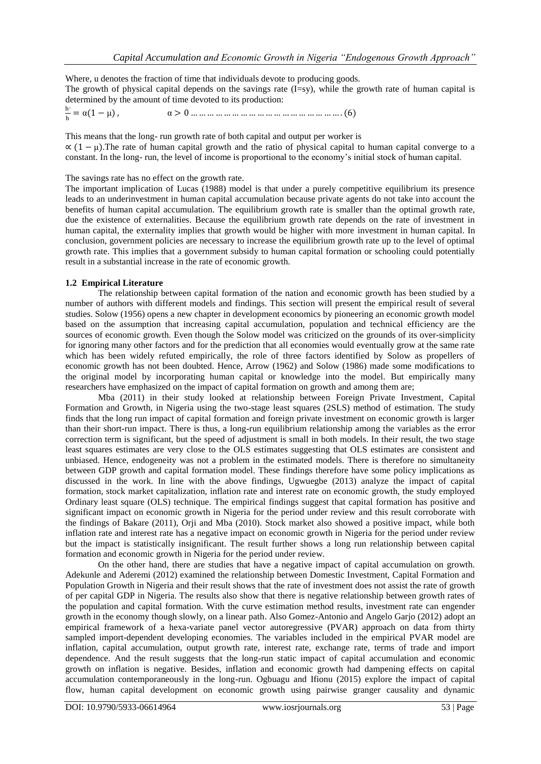Where, u denotes the fraction of time that individuals devote to producing goods. The growth of physical capital depends on the savings rate  $(I=sy)$ , while the growth rate of human capital is determined by the amount of time devoted to its production:

h , h = α 1 − μ , α > 0 … … … … … … … … … … … … … … … … … … . (6)

This means that the long- run growth rate of both capital and output per worker is  $\alpha$  (1 –  $\mu$ ). The rate of human capital growth and the ratio of physical capital to human capital converge to a constant. In the long- run, the level of income is proportional to the economy's initial stock of human capital.

The savings rate has no effect on the growth rate.

The important implication of Lucas (1988) model is that under a purely competitive equilibrium its presence leads to an underinvestment in human capital accumulation because private agents do not take into account the benefits of human capital accumulation. The equilibrium growth rate is smaller than the optimal growth rate, due the existence of externalities. Because the equilibrium growth rate depends on the rate of investment in human capital, the externality implies that growth would be higher with more investment in human capital. In conclusion, government policies are necessary to increase the equilibrium growth rate up to the level of optimal growth rate. This implies that a government subsidy to human capital formation or schooling could potentially result in a substantial increase in the rate of economic growth.

# **1.2 Empirical Literature**

The relationship between capital formation of the nation and economic growth has been studied by a number of authors with different models and findings. This section will present the empirical result of several studies. Solow (1956) opens a new chapter in development economics by pioneering an economic growth model based on the assumption that increasing capital accumulation, population and technical efficiency are the sources of economic growth. Even though the Solow model was criticized on the grounds of its over-simplicity for ignoring many other factors and for the prediction that all economies would eventually grow at the same rate which has been widely refuted empirically, the role of three factors identified by Solow as propellers of economic growth has not been doubted. Hence, Arrow (1962) and Solow (1986) made some modifications to the original model by incorporating human capital or knowledge into the model. But empirically many researchers have emphasized on the impact of capital formation on growth and among them are;

Mba (2011) in their study looked at relationship between Foreign Private Investment, Capital Formation and Growth, in Nigeria using the two-stage least squares (2SLS) method of estimation. The study finds that the long run impact of capital formation and foreign private investment on economic growth is larger than their short-run impact. There is thus, a long-run equilibrium relationship among the variables as the error correction term is significant, but the speed of adjustment is small in both models. In their result, the two stage least squares estimates are very close to the OLS estimates suggesting that OLS estimates are consistent and unbiased. Hence, endogeneity was not a problem in the estimated models. There is therefore no simultaneity between GDP growth and capital formation model. These findings therefore have some policy implications as discussed in the work. In line with the above findings, Ugwuegbe (2013) analyze the impact of capital formation, stock market capitalization, inflation rate and interest rate on economic growth, the study employed Ordinary least square (OLS) technique. The empirical findings suggest that capital formation has positive and significant impact on economic growth in Nigeria for the period under review and this result corroborate with the findings of Bakare (2011), Orji and Mba (2010). Stock market also showed a positive impact, while both inflation rate and interest rate has a negative impact on economic growth in Nigeria for the period under review but the impact is statistically insignificant. The result further shows a long run relationship between capital formation and economic growth in Nigeria for the period under review.

On the other hand, there are studies that have a negative impact of capital accumulation on growth. Adekunle and Aderemi (2012) examined the relationship between Domestic Investment, Capital Formation and Population Growth in Nigeria and their result shows that the rate of investment does not assist the rate of growth of per capital GDP in Nigeria. The results also show that there is negative relationship between growth rates of the population and capital formation. With the curve estimation method results, investment rate can engender growth in the economy though slowly, on a linear path. Also Gomez-Antonio and Angelo Garjo (2012) adopt an empirical framework of a hexa-variate panel vector autoregressive (PVAR) approach on data from thirty sampled import-dependent developing economies. The variables included in the empirical PVAR model are inflation, capital accumulation, output growth rate, interest rate, exchange rate, terms of trade and import dependence. And the result suggests that the long-run static impact of capital accumulation and economic growth on inflation is negative. Besides, inflation and economic growth had dampening effects on capital accumulation contemporaneously in the long-run. Ogbuagu and Ifionu (2015) explore the impact of capital flow, human capital development on economic growth using pairwise granger causality and dynamic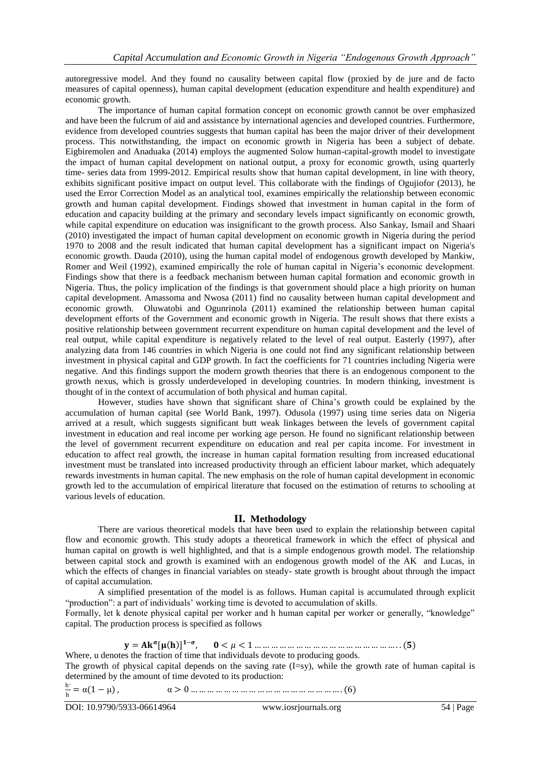autoregressive model. And they found no causality between capital flow (proxied by de jure and de facto measures of capital openness), human capital development (education expenditure and health expenditure) and economic growth.

The importance of human capital formation concept on economic growth cannot be over emphasized and have been the fulcrum of aid and assistance by international agencies and developed countries. Furthermore, evidence from developed countries suggests that human capital has been the major driver of their development process. This notwithstanding, the impact on economic growth in Nigeria has been a subject of debate. Eigbiremolen and Anaduaka (2014) employs the augmented Solow human-capital-growth model to investigate the impact of human capital development on national output, a proxy for economic growth, using quarterly time- series data from 1999-2012. Empirical results show that human capital development, in line with theory, exhibits significant positive impact on output level. This collaborate with the findings of Ogujiofor (2013), he used the Error Correction Model as an analytical tool, examines empirically the relationship between economic growth and human capital development. Findings showed that investment in human capital in the form of education and capacity building at the primary and secondary levels impact significantly on economic growth, while capital expenditure on education was insignificant to the growth process. Also Sankay, Ismail and Shaari (2010) investigated the impact of human capital development on economic growth in Nigeria during the period 1970 to 2008 and the result indicated that human capital development has a significant impact on Nigeria's economic growth. Dauda (2010), using the human capital model of endogenous growth developed by Mankiw, Romer and Weil (1992), examined empirically the role of human capital in Nigeria's economic development. Findings show that there is a feedback mechanism between human capital formation and economic growth in Nigeria. Thus, the policy implication of the findings is that government should place a high priority on human capital development. Amassoma and Nwosa (2011) find no causality between human capital development and economic growth. Oluwatobi and Ogunrinola (2011) examined the relationship between human capital development efforts of the Government and economic growth in Nigeria. The result shows that there exists a positive relationship between government recurrent expenditure on human capital development and the level of real output, while capital expenditure is negatively related to the level of real output. Easterly (1997), after analyzing data from 146 countries in which Nigeria is one could not find any significant relationship between investment in physical capital and GDP growth. In fact the coefficients for 71 countries including Nigeria were negative. And this findings support the modern growth theories that there is an endogenous component to the growth nexus, which is grossly underdeveloped in developing countries. In modern thinking, investment is thought of in the context of accumulation of both physical and human capital.

However, studies have shown that significant share of China's growth could be explained by the accumulation of human capital (see World Bank, 1997). Odusola (1997) using time series data on Nigeria arrived at a result, which suggests significant butt weak linkages between the levels of government capital investment in education and real income per working age person. He found no significant relationship between the level of government recurrent expenditure on education and real per capita income. For investment in education to affect real growth, the increase in human capital formation resulting from increased educational investment must be translated into increased productivity through an efficient labour market, which adequately rewards investments in human capital. The new emphasis on the role of human capital development in economic growth led to the accumulation of empirical literature that focused on the estimation of returns to schooling at various levels of education.

## **II. Methodology**

There are various theoretical models that have been used to explain the relationship between capital flow and economic growth. This study adopts a theoretical framework in which the effect of physical and human capital on growth is well highlighted, and that is a simple endogenous growth model. The relationship between capital stock and growth is examined with an endogenous growth model of the AK and Lucas, in which the effects of changes in financial variables on steady- state growth is brought about through the impact of capital accumulation.

A simplified presentation of the model is as follows. Human capital is accumulated through explicit "production": a part of individuals' working time is devoted to accumulation of skills.

Formally, let k denote physical capital per worker and h human capital per worker or generally, "knowledge" capital. The production process is specified as follows

> $y = Ak^{\sigma}[\mu(h)]^{1-\sigma}$ , < < 1 … … … … … … … … … … … … … … … … … . . ()

Where, u denotes the fraction of time that individuals devote to producing goods.

The growth of physical capital depends on the saving rate (I=sy), while the growth rate of human capital is determined by the amount of time devoted to its production:

h , h = α 1 − μ , α > 0 … … … … … … … … … … … … … … … … … … . (6)

DOI: 10.9790/5933-06614964 www.iosrjournals.org 54 | Page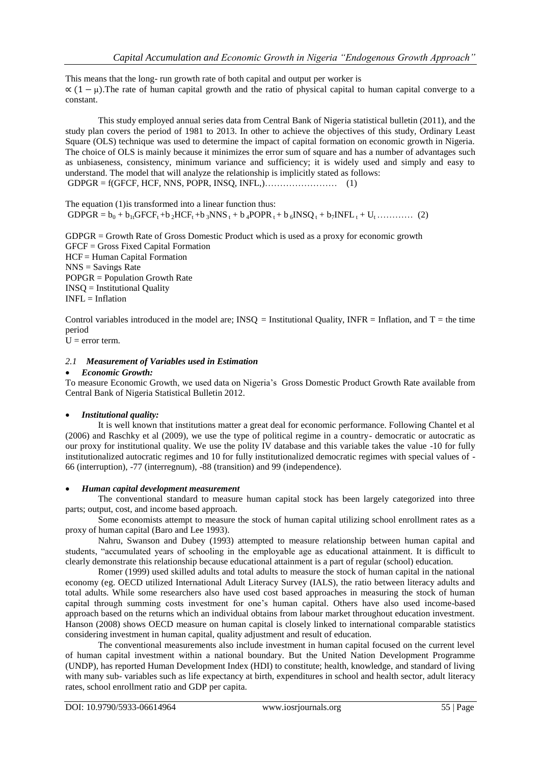This means that the long- run growth rate of both capital and output per worker is  $\propto (1 - \mu)$ . The rate of human capital growth and the ratio of physical capital to human capital converge to a constant.

This study employed annual series data from Central Bank of Nigeria statistical bulletin (2011), and the study plan covers the period of 1981 to 2013. In other to achieve the objectives of this study, Ordinary Least Square (OLS) technique was used to determine the impact of capital formation on economic growth in Nigeria. The choice of OLS is mainly because it minimizes the error sum of square and has a number of advantages such as unbiaseness, consistency, minimum variance and sufficiency; it is widely used and simply and easy to understand. The model that will analyze the relationship is implicitly stated as follows:  $GDPGR = f(GFCF, HCF, NNS, POPR, INSQ, INFL, )$  (1)

The equation (1)is transformed into a linear function thus:  $GDPGR = b_0 + b_{1t}GFCF_t + b_2HCF_t + b_3NNS_t + b_4POPR_t + b_6INSQ_t + b_7INFL_t + U_t$  ………… (2)

GDPGR = Growth Rate of Gross Domestic Product which is used as a proxy for economic growth GFCF = Gross Fixed Capital Formation HCF = Human Capital Formation  $NNS =$  Savings Rate POPGR = Population Growth Rate INSQ = Institutional Quality  $INFL = Inflation$ 

Control variables introduced in the model are;  $INSQ =$  Institutional Quality, INFR = Inflation, and  $T =$  the time period

 $U = error term$ .

## *2.1 Measurement of Variables used in Estimation*

#### *Economic Growth:*

To measure Economic Growth, we used data on Nigeria's Gross Domestic Product Growth Rate available from Central Bank of Nigeria Statistical Bulletin 2012.

## *Institutional quality:*

It is well known that institutions matter a great deal for economic performance. Following Chantel et al (2006) and Raschky et al (2009), we use the type of political regime in a country- democratic or autocratic as our proxy for institutional quality. We use the polity IV database and this variable takes the value -10 for fully institutionalized autocratic regimes and 10 for fully institutionalized democratic regimes with special values of - 66 (interruption), -77 (interregnum), -88 (transition) and 99 (independence).

#### *Human capital development measurement*

The conventional standard to measure human capital stock has been largely categorized into three parts; output, cost, and income based approach.

Some economists attempt to measure the stock of human capital utilizing school enrollment rates as a proxy of human capital (Baro and Lee 1993).

Nahru, Swanson and Dubey (1993) attempted to measure relationship between human capital and students, "accumulated years of schooling in the employable age as educational attainment. It is difficult to clearly demonstrate this relationship because educational attainment is a part of regular (school) education.

Romer (1999) used skilled adults and total adults to measure the stock of human capital in the national economy (eg. OECD utilized International Adult Literacy Survey (IALS), the ratio between literacy adults and total adults. While some researchers also have used cost based approaches in measuring the stock of human capital through summing costs investment for one's human capital. Others have also used income-based approach based on the returns which an individual obtains from labour market throughout education investment. Hanson (2008) shows OECD measure on human capital is closely linked to international comparable statistics considering investment in human capital, quality adjustment and result of education.

The conventional measurements also include investment in human capital focused on the current level of human capital investment within a national boundary. But the United Nation Development Programme (UNDP), has reported Human Development Index (HDI) to constitute; health, knowledge, and standard of living with many sub- variables such as life expectancy at birth, expenditures in school and health sector, adult literacy rates, school enrollment ratio and GDP per capita.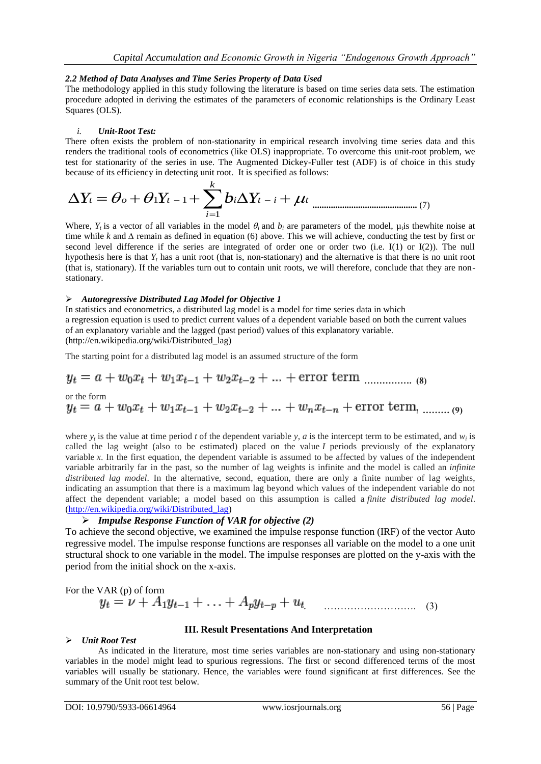## *2.2 Method of Data Analyses and Time Series Property of Data Used*

The methodology applied in this study following the literature is based on time series data sets. The estimation procedure adopted in deriving the estimates of the parameters of economic relationships is the Ordinary Least Squares (OLS).

## *i. Unit-Root Test:*

There often exists the problem of non-stationarity in empirical research involving time series data and this renders the traditional tools of econometrics (like OLS) inappropriate. To overcome this unit-root problem, we test for stationarity of the series in use. The Augmented Dickey-Fuller test (ADF) is of choice in this study

because of its efficiency in detecting unit root. It is specified as follows:  
\n
$$
\Delta Y_t = \theta_o + \theta_1 Y_{t-1} + \sum_{i=1}^k b_i \Delta Y_{t-i} + \mu_t
$$
\n<sub>(7)</sub>

Where,  $Y_t$  is a vector of all variables in the model  $\theta_i$  and  $b_i$  are parameters of the model,  $\mu_i$  is the white noise at time while *k* and *∆* remain as defined in equation (6) above. This we will achieve, conducting the test by first or second level difference if the series are integrated of order one or order two (i.e. I(1) or I(2)). The null hypothesis here is that *Y<sup>t</sup>* has a unit root (that is, non-stationary) and the alternative is that there is no unit root (that is, stationary). If the variables turn out to contain unit roots, we will therefore, conclude that they are nonstationary.

#### *Autoregressive Distributed Lag Model for Objective 1*

In [statistics](http://en.wikipedia.org/wiki/Statistics) and [econometrics,](http://en.wikipedia.org/wiki/Econometrics) a distributed lag model is a model for [time series](http://en.wikipedia.org/wiki/Time_series) data in which a [regression](http://en.wikipedia.org/wiki/Linear_regression) equation is used to predict current values of a [dependent variable](http://en.wikipedia.org/wiki/Dependent_variable) based on both the current values of an [explanatory variable](http://en.wikipedia.org/wiki/Explanatory_variable) and the lagged (past period) values of this explanatory variable. (http://en.wikipedia.org/wiki/Distributed\_lag)

The starting point for a distributed lag model is an assumed structure of the form

 **……………. (8)** or the form **……… (9)** 

where  $y_t$  is the value at time period *t* of the dependent variable  $y$ ,  $a$  is the intercept term to be estimated, and  $w_t$  is called the lag weight (also to be estimated) placed on the value *I* periods previously of the explanatory variable *x*. In the first equation, the dependent variable is assumed to be affected by values of the independent variable arbitrarily far in the past, so the number of lag weights is infinite and the model is called an *infinite distributed lag model*. In the alternative, second, equation, there are only a finite number of lag weights, indicating an assumption that there is a maximum lag beyond which values of the independent variable do not affect the dependent variable; a model based on this assumption is called a *finite distributed lag model*. [\(http://en.wikipedia.org/wiki/Distributed\\_lag\)](http://en.wikipedia.org/wiki/Distributed_lag)

## *Impulse Response Function of VAR for objective (2)*

To achieve the second objective, we examined the impulse response function (IRF) of the vector Auto regressive model. The impulse response functions are responses all variable on the model to a one unit structural shock to one variable in the model. The impulse responses are plotted on the y-axis with the period from the initial shock on the x-axis.

For the VAR (p) of form  
\n
$$
y_t = \nu + A_1 y_{t-1} + ... + A_p y_{t-p} + u_t
$$
 (3)

## **III. Result Presentations And Interpretation**

#### *Unit Root Test*

As indicated in the literature, most time series variables are non-stationary and using non-stationary variables in the model might lead to spurious regressions. The first or second differenced terms of the most variables will usually be stationary. Hence, the variables were found significant at first differences. See the summary of the Unit root test below.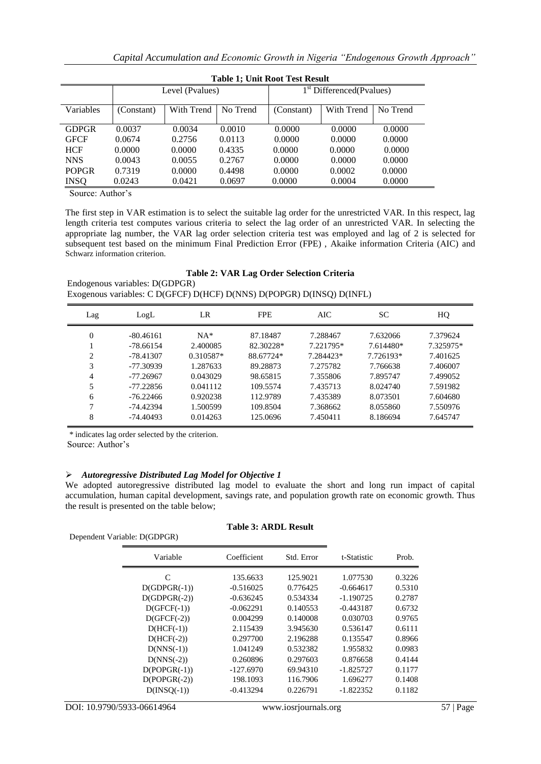|              | Tadie I; Umit Kool Test Kesuit |            |          |                                      |            |          |  |
|--------------|--------------------------------|------------|----------|--------------------------------------|------------|----------|--|
|              | Level (Pvalues)                |            |          | 1 <sup>st</sup> Differenced(Pvalues) |            |          |  |
| Variables    | (Constant)                     | With Trend | No Trend | (Constant)                           | With Trend | No Trend |  |
| <b>GDPGR</b> | 0.0037                         | 0.0034     | 0.0010   | 0.0000                               | 0.0000     | 0.0000   |  |
| <b>GFCF</b>  | 0.0674                         | 0.2756     | 0.0113   | 0.0000                               | 0.0000     | 0.0000   |  |
| <b>HCF</b>   | 0.0000                         | 0.0000     | 0.4335   | 0.0000                               | 0.0000     | 0.0000   |  |
| <b>NNS</b>   | 0.0043                         | 0.0055     | 0.2767   | 0.0000                               | 0.0000     | 0.0000   |  |
| <b>POPGR</b> | 0.7319                         | 0.0000     | 0.4498   | 0.0000                               | 0.0002     | 0.0000   |  |
| <b>INSQ</b>  | 0.0243                         | 0.0421     | 0.0697   | 0.0000                               | 0.0004     | 0.0000   |  |
|              |                                |            |          |                                      |            |          |  |

| <b>Table 1; Unit Root Test Result</b> |
|---------------------------------------|
|---------------------------------------|

Source: Author's

The first step in VAR estimation is to select the suitable lag order for the unrestricted VAR. In this respect, lag length criteria test computes various criteria to select the lag order of an unrestricted VAR. In selecting the appropriate lag number, the VAR lag order selection criteria test was employed and lag of 2 is selected for subsequent test based on the minimum Final Prediction Error (FPE) , Akaike information Criteria (AIC) and Schwarz information criterion.

#### **Table 2: VAR Lag Order Selection Criteria** Endogenous variables: D(GDPGR) Exogenous variables: C D(GFCF) D(HCF) D(NNS) D(POPGR) D(INSQ) D(INFL)

| Lag      | LogL        | LR        | <b>FPE</b> | AIC       | SС        | HQ        |
|----------|-------------|-----------|------------|-----------|-----------|-----------|
| $\Omega$ | $-80.46161$ | $NA*$     | 87.18487   | 7.288467  | 7.632066  | 7.379624  |
|          | $-78.66154$ | 2.400085  | 82.30228*  | 7.221795* | 7.614480* | 7.325975* |
| 2        | $-78.41307$ | 0.310587* | 88.67724*  | 7.284423* | 7.726193* | 7.401625  |
| 3        | $-77.30939$ | 1.287633  | 89.28873   | 7.275782  | 7.766638  | 7.406007  |
| 4        | $-77.26967$ | 0.043029  | 98.65815   | 7.355806  | 7.895747  | 7.499052  |
| 5        | $-77.22856$ | 0.041112  | 109.5574   | 7.435713  | 8.024740  | 7.591982  |
| 6        | $-76.22466$ | 0.920238  | 112.9789   | 7.435389  | 8.073501  | 7.604680  |
| 7        | -74.42394   | 1.500599  | 109.8504   | 7.368662  | 8.055860  | 7.550976  |
| 8        | -74.40493   | 0.014263  | 125.0696   | 7.450411  | 8.186694  | 7.645747  |

\* indicates lag order selected by the criterion.

Source: Author's

## *Autoregressive Distributed Lag Model for Objective 1*

We adopted autoregressive distributed lag model to evaluate the short and long run impact of capital accumulation, human capital development, savings rate, and population growth rate on economic growth. Thus the result is presented on the table below;

| Dependent Variable: D(GDPGR) |             |            |             |        |
|------------------------------|-------------|------------|-------------|--------|
| Variable                     | Coefficient | Std. Error | t-Statistic | Prob.  |
| C                            | 135.6633    | 125.9021   | 1.077530    | 0.3226 |
| $D(GDPGR(-1))$               | $-0.516025$ | 0.776425   | $-0.664617$ | 0.5310 |
| $D(GDPGR(-2))$               | $-0.636245$ | 0.534334   | $-1.190725$ | 0.2787 |
| $D(GFCF(-1))$                | $-0.062291$ | 0.140553   | $-0.443187$ | 0.6732 |
| $D(GFCF(-2))$                | 0.004299    | 0.140008   | 0.030703    | 0.9765 |
| $D(HCF(-1))$                 | 2.115439    | 3.945630   | 0.536147    | 0.6111 |
| $D(HCF(-2))$                 | 0.297700    | 2.196288   | 0.135547    | 0.8966 |
| $D(NNS(-1))$                 | 1.041249    | 0.532382   | 1.955832    | 0.0983 |
| $D(NNS(-2))$                 | 0.260896    | 0.297603   | 0.876658    | 0.4144 |
| $D(POPGR(-1))$               | $-127.6970$ | 69.94310   | $-1.825727$ | 0.1177 |
| $D(POPGR(-2))$               | 198.1093    | 116.7906   | 1.696277    | 0.1408 |
| $D(INSQ(-1))$                | $-0.413294$ | 0.226791   | $-1.822352$ | 0.1182 |

#### **Table 3: ARDL Result**

DOI: 10.9790/5933-06614964 www.iosrjournals.org 57 | Page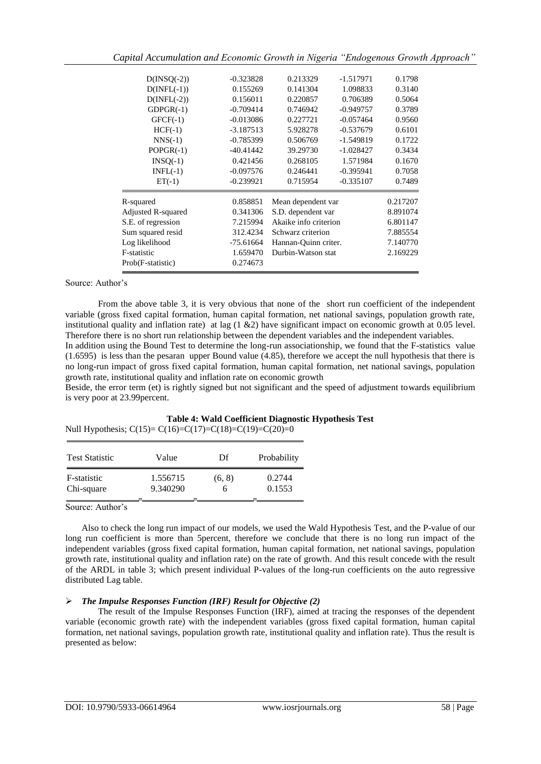*Capital Accumulation and Economic Growth in Nigeria "Endogenous Growth Approach"*

| $D(INSQ(-2))$             | $-0.323828$ | 0.213329                | $-1.517971$ | 0.1798   |
|---------------------------|-------------|-------------------------|-------------|----------|
| $D(\text{INFL}(-1))$      | 0.155269    | 0.141304                | 1.098833    | 0.3140   |
| $D(INFL(-2))$             | 0.156011    | 0.220857<br>0.706389    |             | 0.5064   |
| $GDPGR(-1)$               | $-0.709414$ | 0.746942                | $-0.949757$ | 0.3789   |
| $GFCF(-1)$                | $-0.013086$ | 0.227721                | $-0.057464$ | 0.9560   |
| $HCF(-1)$                 | $-3.187513$ | 5.928278                | $-0.537679$ | 0.6101   |
| $NNS(-1)$                 | $-0.785399$ | 0.506769                | $-1.549819$ | 0.1722   |
| $POPGR(-1)$               | $-40.41442$ | 39.29730<br>$-1.028427$ |             | 0.3434   |
| $INSQ(-1)$                | 0.421456    | 0.268105<br>1.571984    |             | 0.1670   |
| $INFL(-1)$                | $-0.097576$ | 0.246441<br>$-0.395941$ |             | 0.7058   |
| $ET(-1)$                  | $-0.239921$ | 0.715954<br>$-0.335107$ |             | 0.7489   |
| R-squared                 | 0.858851    | Mean dependent var      |             | 0.217207 |
| <b>Adjusted R-squared</b> | 0.341306    | S.D. dependent var      |             | 8.891074 |
| S.E. of regression        | 7.215994    | Akaike info criterion   |             | 6.801147 |
| Sum squared resid         | 312.4234    | Schwarz criterion       |             | 7.885554 |
| Log likelihood            | $-75.61664$ | Hannan-Quinn criter.    |             | 7.140770 |
| F-statistic               | 1.659470    | Durbin-Watson stat      |             | 2.169229 |
| Prob(F-statistic)         | 0.274673    |                         |             |          |
|                           |             |                         |             |          |

#### Source: Author's

From the above table 3, it is very obvious that none of the short run coefficient of the independent variable (gross fixed capital formation, human capital formation, net national savings, population growth rate, institutional quality and inflation rate) at lag (1 &2) have significant impact on economic growth at 0.05 level. Therefore there is no short run relationship between the dependent variables and the independent variables.

In addition using the Bound Test to determine the long-run associationship, we found that the F-statistics value (1.6595) is less than the pesaran upper Bound value (4.85), therefore we accept the null hypothesis that there is no long-run impact of gross fixed capital formation, human capital formation, net national savings, population growth rate, institutional quality and inflation rate on economic growth

Beside, the error term (et) is rightly signed but not significant and the speed of adjustment towards equilibrium is very poor at 23.99percent.

#### **Table 4: Wald Coefficient Diagnostic Hypothesis Test** Null Hypothesis;  $C(15) = C(16) = C(17) = C(18) = C(19) = C(20) = 0$

| <b>Test Statistic</b> | Value    | Df     | Probability |
|-----------------------|----------|--------|-------------|
| F-statistic           | 1.556715 | (6, 8) | 0.2744      |
| Chi-square            | 9.340290 | n      | 0.1553      |

Source: Author's

Also to check the long run impact of our models, we used the Wald Hypothesis Test, and the P-value of our long run coefficient is more than 5percent, therefore we conclude that there is no long run impact of the independent variables (gross fixed capital formation, human capital formation, net national savings, population growth rate, institutional quality and inflation rate) on the rate of growth. And this result concede with the result of the ARDL in table 3; which present individual P-values of the long-run coefficients on the auto regressive distributed Lag table.

#### *The Impulse Responses Function (IRF) Result for Objective (2)*

The result of the Impulse Responses Function (IRF), aimed at tracing the responses of the dependent variable (economic growth rate) with the independent variables (gross fixed capital formation, human capital formation, net national savings, population growth rate, institutional quality and inflation rate). Thus the result is presented as below: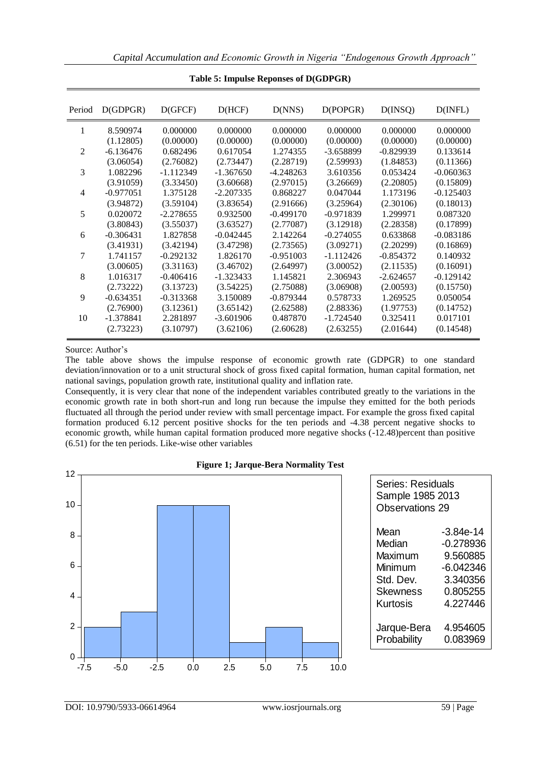| Period         | D(GDPGR)    | D(GFCF)     | D(HCF)      | D(NNS)      | D(POPGR)    | D(INSQ)     | $D(\text{INFL})$ |
|----------------|-------------|-------------|-------------|-------------|-------------|-------------|------------------|
| 1              | 8.590974    | 0.000000    | 0.000000    | 0.000000    | 0.000000    | 0.000000    | 0.000000         |
|                | (1.12805)   | (0.00000)   | (0.00000)   | (0.00000)   | (0.00000)   | (0.00000)   | (0.00000)        |
| $\overline{c}$ | $-6.136476$ | 0.682496    | 0.617054    | 1.274355    | $-3.658899$ | $-0.829939$ | 0.133614         |
|                | (3.06054)   | (2.76082)   | (2.73447)   | (2.28719)   | (2.59993)   | (1.84853)   | (0.11366)        |
| 3              | 1.082296    | $-1.112349$ | $-1.367650$ | $-4.248263$ | 3.610356    | 0.053424    | $-0.060363$      |
|                | (3.91059)   | (3.33450)   | (3.60668)   | (2.97015)   | (3.26669)   | (2.20805)   | (0.15809)        |
| 4              | $-0.977051$ | 1.375128    | $-2.207335$ | 0.868227    | 0.047044    | 1.173196    | $-0.125403$      |
|                | (3.94872)   | (3.59104)   | (3.83654)   | (2.91666)   | (3.25964)   | (2.30106)   | (0.18013)        |
| 5              | 0.020072    | $-2.278655$ | 0.932500    | $-0.499170$ | $-0.971839$ | 1.299971    | 0.087320         |
|                | (3.80843)   | (3.55037)   | (3.63527)   | (2.77087)   | (3.12918)   | (2.28358)   | (0.17899)        |
| 6              | $-0.306431$ | 1.827858    | $-0.042445$ | 2.142264    | $-0.274055$ | 0.633868    | $-0.083186$      |
|                | (3.41931)   | (3.42194)   | (3.47298)   | (2.73565)   | (3.09271)   | (2.20299)   | (0.16869)        |
| 7              | 1.741157    | $-0.292132$ | 1.826170    | $-0.951003$ | $-1.112426$ | $-0.854372$ | 0.140932         |
|                | (3.00605)   | (3.31163)   | (3.46702)   | (2.64997)   | (3.00052)   | (2.11535)   | (0.16091)        |
| 8              | 1.016317    | $-0.406416$ | $-1.323433$ | 1.145821    | 2.306943    | $-2.624657$ | $-0.129142$      |
|                | (2.73222)   | (3.13723)   | (3.54225)   | (2.75088)   | (3.06908)   | (2.00593)   | (0.15750)        |
| 9              | $-0.634351$ | $-0.313368$ | 3.150089    | $-0.879344$ | 0.578733    | 1.269525    | 0.050054         |
|                | (2.76900)   | (3.12361)   | (3.65142)   | (2.62588)   | (2.88336)   | (1.97753)   | (0.14752)        |
| 10             | $-1.378841$ | 2.281897    | $-3.601906$ | 0.487870    | $-1.724540$ | 0.325411    | 0.017101         |
|                | (2.73223)   | (3.10797)   | (3.62106)   | (2.60628)   | (2.63255)   | (2.01644)   | (0.14548)        |

**Table 5: Impulse Reponses of D(GDPGR)**

#### Source: Author's

The table above shows the impulse response of economic growth rate (GDPGR) to one standard deviation/innovation or to a unit structural shock of gross fixed capital formation, human capital formation, net national savings, population growth rate, institutional quality and inflation rate.

Consequently, it is very clear that none of the independent variables contributed greatly to the variations in the economic growth rate in both short-run and long run because the impulse they emitted for the both periods fluctuated all through the period under review with small percentage impact. For example the gross fixed capital formation produced 6.12 percent positive shocks for the ten periods and -4.38 percent negative shocks to economic growth, while human capital formation produced more negative shocks (-12.48)percent than positive (6.51) for the ten periods. Like-wise other variables



|  | <b>Figure 1; Jarque-Bera Normality Test</b> |  |
|--|---------------------------------------------|--|
|  |                                             |  |

| Series: Residuals<br>Sample 1985 2013<br><b>Observations 29</b> |             |  |  |  |
|-----------------------------------------------------------------|-------------|--|--|--|
| Mean                                                            | $-3.84e-14$ |  |  |  |
| Median                                                          | $-0.278936$ |  |  |  |
| Maximum                                                         | 9.560885    |  |  |  |
| Minimum                                                         | $-6.042346$ |  |  |  |
| Std. Dev.                                                       | 3.340356    |  |  |  |
| Skewness                                                        | 0.805255    |  |  |  |
| Kurtosis                                                        | 4.227446    |  |  |  |
| Jarque-Bera                                                     | 4.954605    |  |  |  |
| Probability                                                     | 0.083969    |  |  |  |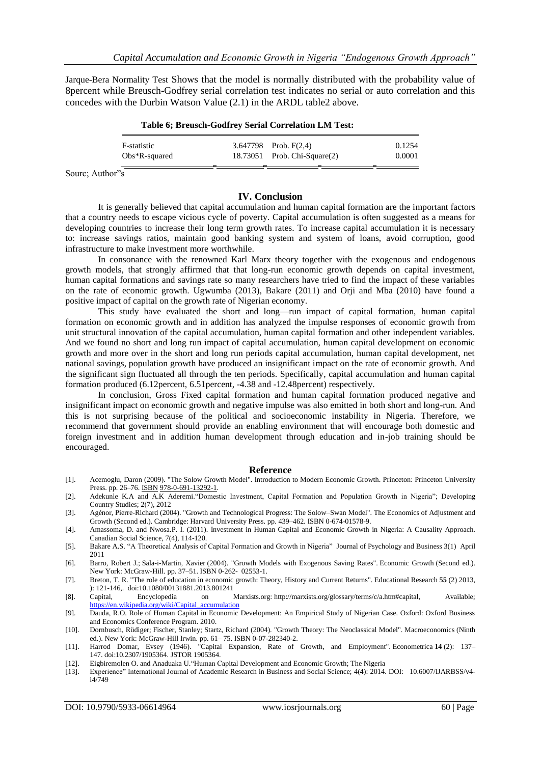Jarque-Bera Normality Test Shows that the model is normally distributed with the probability value of 8percent while Breusch-Godfrey serial correlation test indicates no serial or auto correlation and this concedes with the Durbin Watson Value (2.1) in the ARDL table2 above.

| Table 6; Breusch-Godfrey Serial Correlation LM Test: |  |                              |        |  |
|------------------------------------------------------|--|------------------------------|--------|--|
| F-statistic                                          |  | 3.647798 Prob. $F(2,4)$      | 0.1254 |  |
| $Obs*R$ -squared                                     |  | 18.73051 Prob. Chi-Square(2) | 0.0001 |  |

Sourc; Author"s

## **IV. Conclusion**

It is generally believed that capital accumulation and human capital formation are the important factors that a country needs to escape vicious cycle of poverty. Capital accumulation is often suggested as a means for developing countries to increase their long term growth rates. To increase capital accumulation it is necessary to: increase savings ratios, maintain good banking system and system of loans, avoid corruption, good infrastructure to make investment more worthwhile.

In consonance with the renowned Karl Marx theory together with the exogenous and endogenous growth models, that strongly affirmed that that long-run economic growth depends on capital investment, human capital formations and savings rate so many researchers have tried to find the impact of these variables on the rate of economic growth. Ugwumba (2013), Bakare (2011) and Orji and Mba (2010) have found a positive impact of capital on the growth rate of Nigerian economy.

This study have evaluated the short and long—run impact of capital formation, human capital formation on economic growth and in addition has analyzed the impulse responses of economic growth from unit structural innovation of the capital accumulation, human capital formation and other independent variables. And we found no short and long run impact of capital accumulation, human capital development on economic growth and more over in the short and long run periods capital accumulation, human capital development, net national savings, population growth have produced an insignificant impact on the rate of economic growth. And the significant sign fluctuated all through the ten periods. Specifically, capital accumulation and human capital formation produced (6.12percent, 6.51percent, -4.38 and -12.48percent) respectively.

In conclusion, Gross Fixed capital formation and human capital formation produced negative and insignificant impact on economic growth and negative impulse was also emitted in both short and long-run. And this is not surprising because of the political and socioeconomic instability in Nigeria. Therefore, we recommend that government should provide an enabling environment that will encourage both domestic and foreign investment and in addition human development through education and in-job training should be encouraged.

#### **Reference**

- [1]. Acemoglu, Daron (2009). "The Solow Growth Model". Introduction to Modern Economic Growth. Princeton: Princeton University Press. pp. 26-76. **[ISBN](https://en.wikipedia.org/wiki/International_Standard_Book_Number) 978-0-691-13292-1**.
- [2]. Adekunle K.A and A.K Aderemi."Domestic Investment, Capital Formation and Population Growth in Nigeria"; Developing Country Studies; 2(7), 2012
- [3]. Agénor, Pierre-Richard (2004). "Growth and Technological Progress: The Solow–Swan Model". The Economics of Adjustment and Growth (Second ed.). Cambridge: Harvard University Press. pp. 439–462. [ISBN](https://en.wikipedia.org/wiki/International_Standard_Book_Number) [0-674-01578-9.](https://en.wikipedia.org/wiki/Special:BookSources/0-674-01578-9)
- [4]. Amassoma, D. and Nwosa.P. I. (2011). Investment in Human Capital and Economic Growth in Nigeria: A Causality Approach. Canadian Social Science, 7(4), 114-120.
- [5]. Bakare A.S. "A Theoretical Analysis of Capital Formation and Growth in Nigeria" Journal of Psychology and Business 3(1) April 2011
- [6]. [Barro, Robert J.;](https://en.wikipedia.org/wiki/Robert_J._Barro) [Sala-i-Martin, Xavier](https://en.wikipedia.org/wiki/Xavier_Sala-i-Martin) (2004). "Growth Models with Exogenous Saving Rates". Economic Growth (Second ed.). New York: McGraw-Hill. pp. 37–51. [ISBN](https://en.wikipedia.org/wiki/International_Standard_Book_Number) [0-262- 02553-1.](https://en.wikipedia.org/wiki/Special:BookSources/0-262-02553-1)
- [7]. Breton, T. R. "The role of education in economic growth: Theory, History and Current Returns". Educational Research **55** (2) 2013, ): 121-146,. [doi:](https://en.wikipedia.org/wiki/Digital_object_identifier)[10.1080/00131881.2013.801241](https://dx.doi.org/10.1080%2F00131881.2013.801241)
- [8]. Capital, Encyclopedia on Marxists.org: [http://marxists.org/glossary/terms/c/a.htm#capital,](http://marxists.org/glossary/terms/c/a.htm#capital) Available; [https://en.wikipedia.org/wiki/Capital\\_accumulation](https://en.wikipedia.org/wiki/Capital_accumulation)
- [9]. Dauda, R.O. Role of Human Capital in Economic Development: An Empirical Study of Nigerian Case. Oxford: Oxford Business and Economics Conference Program. 2010.
- [10]. [Dornbusch, Rüdiger;](https://en.wikipedia.org/wiki/R%C3%BCdiger_Dornbusch) [Fischer, Stanley;](https://en.wikipedia.org/wiki/Stanley_Fischer) Startz, Richard (2004). "Growth Theory: The Neoclassical Model". Macroeconomics (Ninth ed.). New York: McGraw-Hill Irwin. pp. 61– 75. [ISBN](https://en.wikipedia.org/wiki/International_Standard_Book_Number) [0-07-282340-2.](https://en.wikipedia.org/wiki/Special:BookSources/0-07-282340-2)
- [11]. Harrod Domar, Evsey (1946). "Capital Expansion, Rate of Growth, and Employment". Econometrica **14** (2): 137– 147. [doi](https://en.wikipedia.org/wiki/Digital_object_identifier)[:10.2307/1905364.](https://dx.doi.org/10.2307%2F1905364) [JSTOR](https://en.wikipedia.org/wiki/JSTOR) [1905364.](https://www.jstor.org/stable/1905364)
- [12]. Eigbiremolen O. and Anaduaka U. "Human Capital Development and Economic Growth; The Nigeria
- [13]. Experience‖ International Journal of Academic Research in Business and Social Science; 4(4): 2014. DOI: 10.6007/IJARBSS/v4 i4/749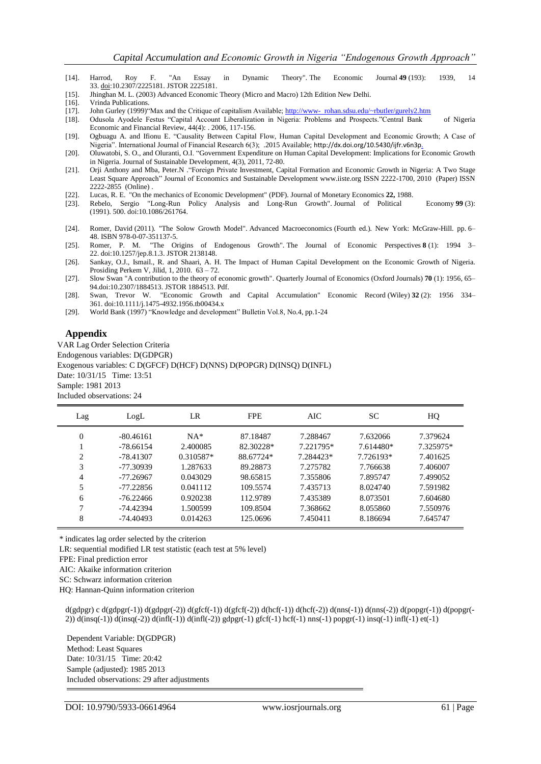- [14]. Harrod, Roy F. "An Essay in Dynamic Theory". The Economic Journal **49** (193): 1939, 14 33. [doi](https://en.wikipedia.org/wiki/Digital_object_identifier)[:10.2307/2225181.](https://dx.doi.org/10.2307%2F2225181) [JSTOR](https://en.wikipedia.org/wiki/JSTOR) [2225181.](https://www.jstor.org/stable/2225181)
- [15]. Jhinghan M. L. (2003) Advanced Economic Theory (Micro and Macro) 12th Edition New Delhi.
- [16]. Vrinda Publications.
- [17]. John Gurley (1999)"Max and the Critique of capitalism Available; http://www- rohan.sdsu.edu/~rbutler/gurely2.htm
- [18]. Odusola Ayodele Festus "Capital Account Liberalization in Nigeria: Problems and Prospects."Central Bank of Nigeria Economic and Financial Review, 44(4): . 2006, 117-156.
- [19]. Ogbuagu A. and Ifionu E. "Causality Between Capital Flow, Human Capital Development and Economic Growth; A Case of Nigeria". International Journal of Financial Research 6(3); .2015 Available; http://dx.doi.org/10.5430/ijfr.v6n3p.
- [20]. Oluwatobi, S. O., and Oluranti, O.I. "Government Expenditure on Human Capital Development: Implications for Economic Growth in Nigeria. Journal of Sustainable Development, 4(3), 2011, 72-80.
- [21]. Orji Anthony and Mba, Peter.N . "Foreign Private Investment, Capital Formation and Economic Growth in Nigeria: A Two Stage Least Square Approach" Journal of Economics and Sustainable Development www.iiste.org ISSN 2222-1700, 2010 (Paper) ISSN 2222-2855 (Online) .
- [22]. [Lucas, R. E.](https://en.wikipedia.org/wiki/Robert_Emerson_Lucas,_Jr.) ["On the mechanics of Economic Development"](http://www.fordham.edu/economics/mcleod/LucasMechanicsEconomicGrowth.pdf) (PDF). [Journal of Monetary Economics](https://en.wikipedia.org/wiki/Journal_of_Monetary_Economics) **22,** 1988.
- [23]. Rebelo, Sergio ["Long-Run Policy Analysis and Long-Run Growth".](http://www.nber.org/papers/w3325) [Journal of Political Economy](https://en.wikipedia.org/wiki/Journal_of_Political_Economy) **99** (3): (1991). 500. [doi:](https://en.wikipedia.org/wiki/Digital_object_identifier)[10.1086/261764.](https://dx.doi.org/10.1086%2F261764)
- [24]. [Romer, David](https://en.wikipedia.org/wiki/David_Romer) (2011). "The Solow Growth Model". Advanced Macroeconomics (Fourth ed.). New York: McGraw-Hill. pp. 6– 48. [ISBN](https://en.wikipedia.org/wiki/International_Standard_Book_Number) [978-0-07-351137-5.](https://en.wikipedia.org/wiki/Special:BookSources/978-0-07-351137-5)
- [25]. [Romer, P. M.](https://en.wikipedia.org/wiki/Paul_Romer) "The Origins of Endogenous Growth". [The Journal of Economic Perspectives](https://en.wikipedia.org/wiki/The_Journal_of_Economic_Perspectives) **8** (1): 1994 3– 22. [doi](https://en.wikipedia.org/wiki/Digital_object_identifier)[:10.1257/jep.8.1.3.](https://dx.doi.org/10.1257%2Fjep.8.1.3) [JSTOR](https://en.wikipedia.org/wiki/JSTOR) [2138148.](https://www.jstor.org/stable/2138148)
- [26]. Sankay, O.J., Ismail., R. and Shaari, A. H. The Impact of Human Capital Development on the Economic Growth of Nigeria. Prosiding Perkem V, Jilid, 1, 2010. 63 – 72.
- [27]. Slow Swa[n "A contribution to the theory of economic growth".](http://dx.doi.org/10.2307/1884513) [Quarterly Journal of Economics](https://en.wikipedia.org/wiki/Quarterly_Journal_of_Economics) [\(Oxford Journals\)](https://en.wikipedia.org/wiki/Oxford_University_Press) **70** (1): 1956, 65– 9[4.doi](https://en.wikipedia.org/wiki/Digital_object_identifier)[:10.2307/1884513.](https://dx.doi.org/10.2307%2F1884513) [JSTOR](https://en.wikipedia.org/wiki/JSTOR) [1884513.](https://www.jstor.org/stable/1884513) [Pdf.](http://piketty.pse.ens.fr/files/Solow1956.pdf)
- [28]. [Swan, Trevor W.](https://en.wikipedia.org/wiki/Trevor_Swan) ["Economic Growth and Capital Accumulation"](http://dx.doi.org/10.1111/j.1475-4932.1956.tb00434.x) Economic Record [\(Wiley\)](https://en.wikipedia.org/wiki/John_Wiley_%26_Sons) **32** (2): 1956 334– 361. [doi](https://en.wikipedia.org/wiki/Digital_object_identifier)[:10.1111/j.1475-4932.1956.tb00434.x](https://dx.doi.org/10.1111%2Fj.1475-4932.1956.tb00434.x)
- [29]. World Bank (1997) "Knowledge and development" Bulletin Vol.8, No.4, pp.1-24

#### **Appendix**

VAR Lag Order Selection Criteria Endogenous variables: D(GDPGR) Exogenous variables: C D(GFCF) D(HCF) D(NNS) D(POPGR) D(INSQ) D(INFL) Date: 10/31/15 Time: 13:51 Sample: 1981 2013 Included observations: 24

| Lag            | LogL        | LR          | <b>FPE</b> | AIC       | <b>SC</b> | HQ        |
|----------------|-------------|-------------|------------|-----------|-----------|-----------|
| $\overline{0}$ | $-80.46161$ | $NA*$       | 87.18487   | 7.288467  | 7.632066  | 7.379624  |
|                | -78.66154   | 2.400085    | 82.30228*  | 7.221795* | 7.614480* | 7.325975* |
| 2              | -78.41307   | $0.310587*$ | 88.67724*  | 7.284423* | 7.726193* | 7.401625  |
| 3              | -77.30939   | 1.287633    | 89.28873   | 7.275782  | 7.766638  | 7.406007  |
| 4              | -77.26967   | 0.043029    | 98.65815   | 7.355806  | 7.895747  | 7.499052  |
| 5              | $-77.22856$ | 0.041112    | 109.5574   | 7.435713  | 8.024740  | 7.591982  |
| 6              | $-76.22466$ | 0.920238    | 112.9789   | 7.435389  | 8.073501  | 7.604680  |
| 7              | -74.42394   | 1.500599    | 109.8504   | 7.368662  | 8.055860  | 7.550976  |
| 8              | -74.40493   | 0.014263    | 125.0696   | 7.450411  | 8.186694  | 7.645747  |

\* indicates lag order selected by the criterion

LR: sequential modified LR test statistic (each test at 5% level)

FPE: Final prediction error

AIC: Akaike information criterion

SC: Schwarz information criterion

HQ: Hannan-Quinn information criterion

d(gdpgr) c d(gdpgr(-1)) d(gdpgr(-2)) d(gfcf(-1)) d(gfcf(-2)) d(hcf(-1)) d(hcf(-2)) d(nns(-1)) d(nns(-2)) d(popgr(-1)) d(popgr(- 2)) d(insq(-1)) d(insq(-2)) d(infl(-1)) d(infl(-2)) gdpgr(-1) gfcf(-1) hcf(-1) nns(-1) popgr(-1) insq(-1) infl(-1) et(-1)

Dependent Variable: D(GDPGR) Method: Least Squares Date: 10/31/15 Time: 20:42 Sample (adjusted): 1985 2013 Included observations: 29 after adjustments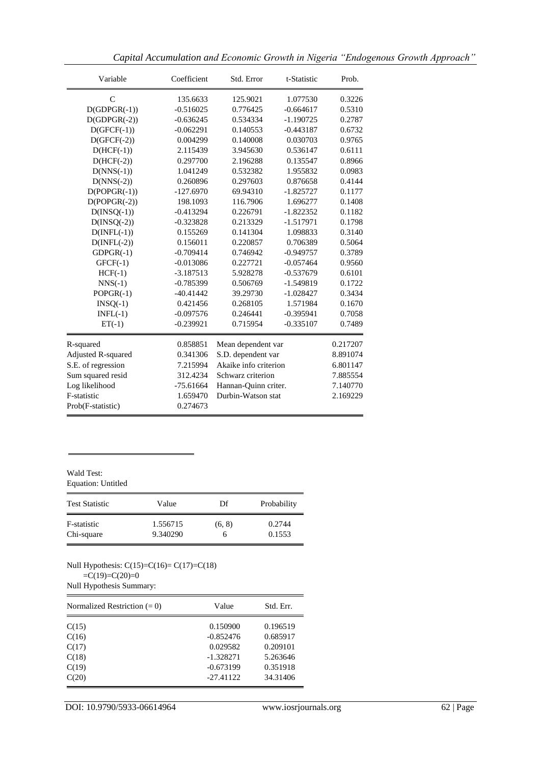| Variable             | Coefficient |                       | t-Statistic | Prob.    |
|----------------------|-------------|-----------------------|-------------|----------|
| $\mathcal{C}$        | 135.6633    | 125.9021              | 1.077530    | 0.3226   |
| $D(GDPGR(-1))$       | $-0.516025$ | 0.776425              | $-0.664617$ | 0.5310   |
| $D(GDPGR(-2))$       | $-0.636245$ | 0.534334              | $-1.190725$ | 0.2787   |
| $D(GFCF(-1))$        | $-0.062291$ | 0.140553              | $-0.443187$ | 0.6732   |
| $D(GFCF(-2))$        | 0.004299    | 0.140008              | 0.030703    | 0.9765   |
| $D(HCF(-1))$         | 2.115439    | 3.945630              | 0.536147    | 0.6111   |
| $D(HCF(-2))$         | 0.297700    | 2.196288              | 0.135547    | 0.8966   |
| $D(NNS(-1))$         | 1.041249    | 0.532382              | 1.955832    | 0.0983   |
| $D(NNS(-2))$         | 0.260896    | 0.297603              | 0.876658    | 0.4144   |
| $D(POPGR(-1))$       | $-127.6970$ | 69.94310              | $-1.825727$ | 0.1177   |
| $D(POPGR(-2))$       | 198.1093    | 116.7906              | 1.696277    | 0.1408   |
| $D(INSQ(-1))$        | $-0.413294$ | 0.226791              | $-1.822352$ | 0.1182   |
| $D(INSQ(-2))$        | $-0.323828$ | 0.213329              | $-1.517971$ | 0.1798   |
| $D(INFL(-1))$        | 0.155269    | 0.141304              | 1.098833    | 0.3140   |
| $D(\text{INFL}(-2))$ | 0.156011    | 0.220857              | 0.706389    | 0.5064   |
| $GDPGR(-1)$          | $-0.709414$ | 0.746942              | $-0.949757$ | 0.3789   |
| $GFCF(-1)$           | $-0.013086$ | 0.227721              | $-0.057464$ | 0.9560   |
| $HCF(-1)$            | $-3.187513$ | 5.928278              | $-0.537679$ | 0.6101   |
| $NNS(-1)$            | $-0.785399$ | 0.506769              | $-1.549819$ | 0.1722   |
| $POPGR(-1)$          | $-40.41442$ | 39.29730              | $-1.028427$ | 0.3434   |
| $INSQ(-1)$           | 0.421456    | 0.268105              | 1.571984    | 0.1670   |
| $INFL(-1)$           | $-0.097576$ | 0.246441              | $-0.395941$ | 0.7058   |
| $ET(-1)$             | $-0.239921$ | 0.715954              | $-0.335107$ | 0.7489   |
| R-squared            | 0.858851    | Mean dependent var    |             | 0.217207 |
| Adjusted R-squared   | 0.341306    | S.D. dependent var    |             | 8.891074 |
| S.E. of regression   | 7.215994    | Akaike info criterion |             | 6.801147 |
| Sum squared resid    | 312.4234    | Schwarz criterion     |             | 7.885554 |
| Log likelihood       | $-75.61664$ | Hannan-Quinn criter.  |             | 7.140770 |
| F-statistic          | 1.659470    | Durbin-Watson stat    |             | 2.169229 |
| Prob(F-statistic)    | 0.274673    |                       |             |          |

*Capital Accumulation and Economic Growth in Nigeria "Endogenous Growth Approach"*

#### Wald Test: Equation: Untitled

| <b>Test Statistic</b> | Value    | Df     | Probability |
|-----------------------|----------|--------|-------------|
| F-statistic           | 1.556715 | (6, 8) | 0.2744      |
| Chi-square            | 9.340290 |        | 0.1553      |

Null Hypothesis: C(15)=C(16)= C(17)=C(18)

 $=C(19)=C(20)=0$ 

Null Hypothesis Summary:

| Normalized Restriction $(= 0)$ | Value       | Std. Err. |  |
|--------------------------------|-------------|-----------|--|
| C(15)                          | 0.150900    | 0.196519  |  |
| C(16)                          | $-0.852476$ | 0.685917  |  |
| C(17)                          | 0.029582    | 0.209101  |  |
| C(18)                          | $-1.328271$ | 5.263646  |  |
| C(19)                          | $-0.673199$ | 0.351918  |  |
| C(20)                          | $-27.41122$ | 34.31406  |  |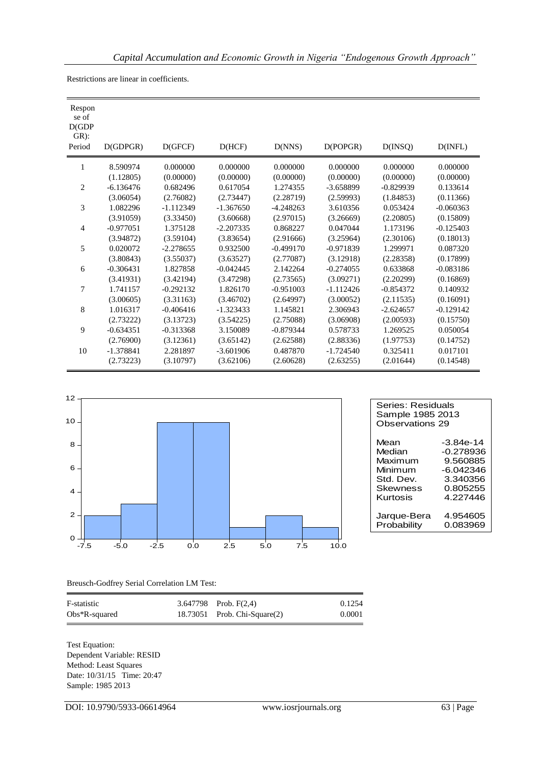| Respon<br>se of<br>D(GDP)<br>$GR)$ :<br>Period | D(GDPGR)    | D(GFCF)     | D(HCF)      | D(NNS)      | D(POPGR)    | D(INSQ)     | D(INFL)     |
|------------------------------------------------|-------------|-------------|-------------|-------------|-------------|-------------|-------------|
| 1                                              | 8.590974    | 0.000000    | 0.000000    | 0.000000    | 0.000000    | 0.000000    | 0.000000    |
|                                                | (1.12805)   | (0.00000)   | (0.00000)   | (0.00000)   | (0.00000)   | (0.00000)   | (0.00000)   |
| $\overline{2}$                                 | $-6.136476$ | 0.682496    | 0.617054    | 1.274355    | $-3.658899$ | $-0.829939$ | 0.133614    |
|                                                | (3.06054)   | (2.76082)   | (2.73447)   | (2.28719)   | (2.59993)   | (1.84853)   | (0.11366)   |
| 3                                              | 1.082296    | $-1.112349$ | $-1.367650$ | $-4.248263$ | 3.610356    | 0.053424    | $-0.060363$ |
|                                                | (3.91059)   | (3.33450)   | (3.60668)   | (2.97015)   | (3.26669)   | (2.20805)   | (0.15809)   |
| $\overline{4}$                                 | $-0.977051$ | 1.375128    | $-2.207335$ | 0.868227    | 0.047044    | 1.173196    | $-0.125403$ |
|                                                | (3.94872)   | (3.59104)   | (3.83654)   | (2.91666)   | (3.25964)   | (2.30106)   | (0.18013)   |
| 5                                              | 0.020072    | $-2.278655$ | 0.932500    | $-0.499170$ | $-0.971839$ | 1.299971    | 0.087320    |
|                                                | (3.80843)   | (3.55037)   | (3.63527)   | (2.77087)   | (3.12918)   | (2.28358)   | (0.17899)   |
| 6                                              | $-0.306431$ | 1.827858    | $-0.042445$ | 2.142264    | $-0.274055$ | 0.633868    | $-0.083186$ |
|                                                | (3.41931)   | (3.42194)   | (3.47298)   | (2.73565)   | (3.09271)   | (2.20299)   | (0.16869)   |
| 7                                              | 1.741157    | $-0.292132$ | 1.826170    | $-0.951003$ | $-1.112426$ | $-0.854372$ | 0.140932    |
|                                                | (3.00605)   | (3.31163)   | (3.46702)   | (2.64997)   | (3.00052)   | (2.11535)   | (0.16091)   |
| 8                                              | 1.016317    | $-0.406416$ | $-1.323433$ | 1.145821    | 2.306943    | $-2.624657$ | $-0.129142$ |
|                                                | (2.73222)   | (3.13723)   | (3.54225)   | (2.75088)   | (3.06908)   | (2.00593)   | (0.15750)   |
| 9                                              | $-0.634351$ | $-0.313368$ | 3.150089    | $-0.879344$ | 0.578733    | 1.269525    | 0.050054    |
|                                                | (2.76900)   | (3.12361)   | (3.65142)   | (2.62588)   | (2.88336)   | (1.97753)   | (0.14752)   |
| 10                                             | $-1.378841$ | 2.281897    | $-3.601906$ | 0.487870    | $-1.724540$ | 0.325411    | 0.017101    |
|                                                | (2.73223)   | (3.10797)   | (3.62106)   | (2.60628)   | (2.63255)   | (2.01644)   | (0.14548)   |
|                                                |             |             |             |             |             |             |             |

Restrictions are linear in coefficients.



| Series: Residuals<br>Sample 1985 2013<br>Observations 29 |             |  |
|----------------------------------------------------------|-------------|--|
| Mean                                                     | $-3.84e-14$ |  |
| Median                                                   | -0.278936   |  |
| Maximum                                                  | 9.560885    |  |
| Minimum                                                  | -6.042346   |  |
| Std. Dev.                                                | 3.340356    |  |
| Skewness                                                 | 0.805255    |  |
| Kurtosis                                                 | 4 227446    |  |
| Jarque-Bera                                              | 4.954605    |  |
| Probability                                              | 0.083969    |  |

Breusch-Godfrey Serial Correlation LM Test:

| F-statistic      | 3.647798 Prob. $F(2,4)$      | 0.1254 |
|------------------|------------------------------|--------|
| $Obs*R$ -squared | 18.73051 Prob. Chi-Square(2) | 0.0001 |

Test Equation: Dependent Variable: RESID Method: Least Squares Date: 10/31/15 Time: 20:47 Sample: 1985 2013

DOI: 10.9790/5933-06614964 www.iosrjournals.org 63 | Page